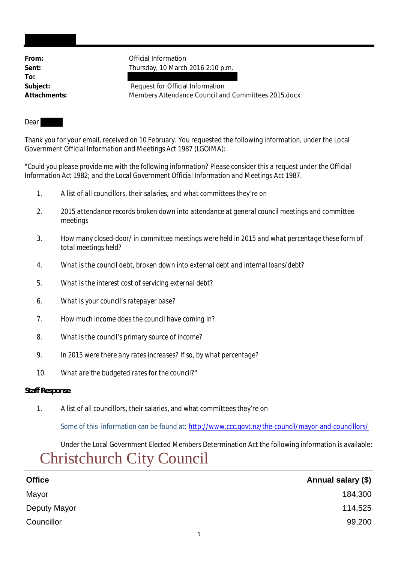**To:**

From: **From:** Official Information **Sent:** Thursday, 10 March 2016 2:10 p.m.

Subject: Subject: Request for Official Information **Attachments:** Members Attendance Council and Committees 2015.docx

### Dear

Thank you for your email, received on 10 February. You requested the following information, under the Local Government Official Information and Meetings Act 1987 (LGOIMA):

*"Could you please provide me with the following information? Please consider this a request under the Official Information Act 1982; and the Local Government Official Information and Meetings Act 1987.*

- *1. A list of all councillors, their salaries, and what committees they're on*
- *2. 2015 attendance records broken down into attendance at general council meetings and committee meetings*
- *3. How many closed-door/ in committee meetings were held in 2015 and what percentage these form of total meetings held?*
- *4. What is the council debt, broken down into external debt and internal loans/debt?*
- *5. What is the interest cost of servicing external debt?*
- *6. What is your council's ratepayer base?*
- *7. How much income does the council have coming in?*
- *8. What is the council's primary source of income?*
- *9. In 2015 were there any rates increases? If so, by what percentage?*
- *10. What are the budgeted rates for the council?"*

### **Staff Response**

1. A list of all councillors, their salaries, and what committees they're on

Some of this information can be found at: http://www.ccc.govt.nz/the-council/mayor-and-councillors/

Under the Local Government Elected Members Determination Act the following information is available:

# Christchurch City Council

| <b>Office</b> | Annual salary (\$) |
|---------------|--------------------|
| Mayor         | 184,300            |
| Deputy Mayor  | 114,525            |
| Councillor    | 99,200             |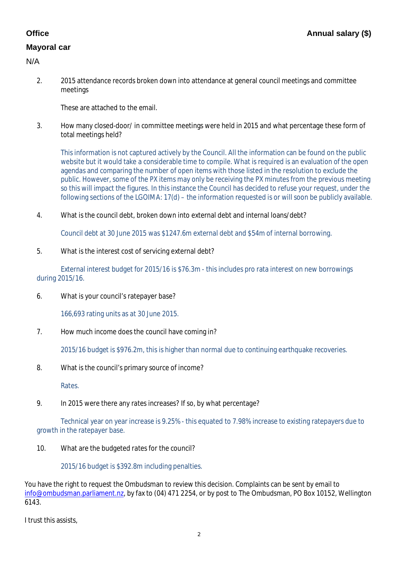# **Mayoral car**

2. 2015 attendance records broken down into attendance at general council meetings and committee meetings

These are attached to the email.

3. How many closed-door/ in committee meetings were held in 2015 and what percentage these form of total meetings held?

This information is not captured actively by the Council. All the information can be found on the public website but it would take a considerable time to compile. What is required is an evaluation of the open agendas and comparing the number of open items with those listed in the resolution to exclude the public. However, some of the PX items may only be receiving the PX minutes from the previous meeting so this will impact the figures. In this instance the Council has decided to refuse your request, under the following sections of the LGOIMA: 17(d) – the information requested is or will soon be publicly available.

4. What is the council debt, broken down into external debt and internal loans/debt?

Council debt at 30 June 2015 was \$1247.6m external debt and \$54m of internal borrowing.

5. What is the interest cost of servicing external debt?

External interest budget for 2015/16 is \$76.3m - this includes pro rata interest on new borrowings during 2015/16.

6. What is your council's ratepayer base?

166,693 rating units as at 30 June 2015.

7. How much income does the council have coming in?

2015/16 budget is \$976.2m, this is higher than normal due to continuing earthquake recoveries.

8. What is the council's primary source of income?

Rates.

9. In 2015 were there any rates increases? If so, by what percentage?

Technical year on year increase is 9.25% - this equated to 7.98% increase to existing ratepayers due to growth in the ratepayer base.

10. What are the budgeted rates for the council?

2015/16 budget is \$392.8m including penalties.

You have the right to request the Ombudsman to review this decision. Complaints can be sent by email to info@ombudsman.parliament.nz, by fax to (04) 471 2254, or by post to The Ombudsman, PO Box 10152, Wellington 6143.

I trust this assists,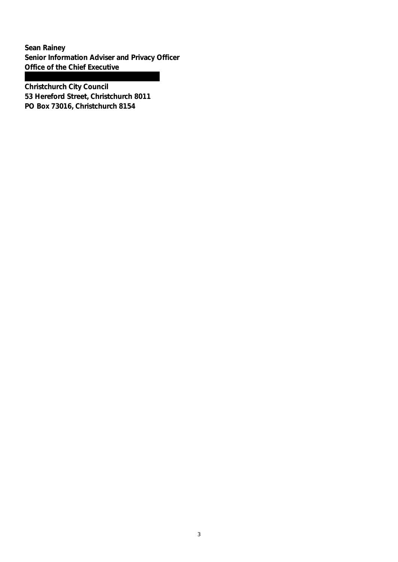**Sean Rainey Senior Information Adviser and Privacy Officer Office of the Chief Executive**

**Christchurch City Council 53 Hereford Street, Christchurch 8011 PO Box 73016, Christchurch 8154**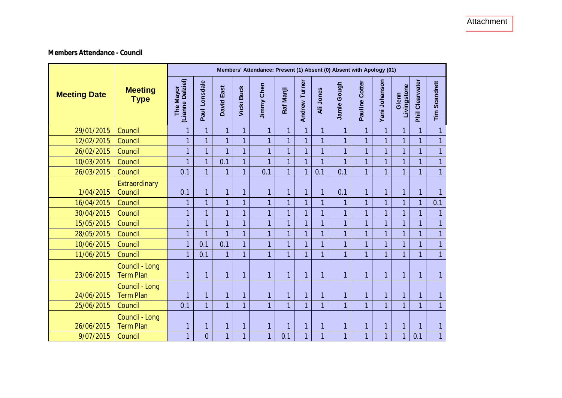## **Members Attendance - Council**

|                     |                                    | Members' Attendance: Present (1) Absent (0) Absent with Apology (01) |                |                   |                   |                   |                |                      |                |                |                   |                |                      |                 |                      |
|---------------------|------------------------------------|----------------------------------------------------------------------|----------------|-------------------|-------------------|-------------------|----------------|----------------------|----------------|----------------|-------------------|----------------|----------------------|-----------------|----------------------|
| <b>Meeting Date</b> | <b>Meeting</b><br><b>Type</b>      | (Lianne Dalziel)<br>The Mayor                                        | Paul Lonsdale  | <b>David East</b> | <b>Vicki Buck</b> | <b>Jimmy Chen</b> | Raf Manji      | <b>Andrew Turner</b> | Ali Jones      | Jamie Gough    | Cotter<br>Pauline | Yani Johanson  | Livingstone<br>Glenn | Phil Clearwater | <b>Tim Scandrett</b> |
| 29/01/2015          | Council                            | $\mathbf{1}$                                                         | 1              | 1                 | 1                 | 1                 | 1              | $\overline{1}$       | 1              | 1              | 1                 | 1              | $\mathbf{1}$         | 1               | 1                    |
| 12/02/2015          | Council                            | $\overline{1}$                                                       | $\overline{1}$ | $\overline{1}$    | 1                 | $\overline{1}$    | $\overline{1}$ | $\overline{1}$       | $\mathbf{1}$   | $\mathbf{1}$   | $\overline{1}$    | 1              | $\mathbf{1}$         | 1               | $\overline{1}$       |
| 26/02/2015          | Council                            | $\overline{1}$                                                       |                | 1                 |                   | 1                 | 1              | 1                    | $\overline{1}$ | 1              | $\overline{1}$    | 1              | 1                    | 1               | $\mathbf{1}$         |
| 10/03/2015          | Council                            | $\overline{1}$                                                       |                | 0.1               |                   | 1                 | $\overline{1}$ | $\overline{1}$       | $\overline{1}$ | $\overline{1}$ | $\overline{1}$    | 1              | $\overline{1}$       |                 | $\overline{1}$       |
| 26/03/2015          | Council                            | 0.1                                                                  |                | 1                 | 1                 | 0.1               | $\mathbf{1}$   | $\overline{1}$       | 0.1            | 0.1            | $\overline{1}$    | 1              | $\overline{1}$       | 1               | $\overline{1}$       |
| 1/04/2015           | Extraordinary<br>Council           | 0.1                                                                  | $\mathbf{1}$   | 1                 | $\mathbf{1}$      | 1                 | $\mathbf{1}$   | $\overline{1}$       | 1              | 0.1            | $\mathbf{1}$      | 1              | $\mathbf{1}$         | 1               | 1                    |
| 16/04/2015          | Council                            | $\mathbf{1}$                                                         |                | $\overline{1}$    |                   | $\overline{1}$    | $\mathbf{1}$   | 1                    | 1              | 1              | $\overline{1}$    | 1              | $\mathbf{1}$         |                 | 0.1                  |
| 30/04/2015          | Council                            | $\overline{1}$                                                       |                | $\overline{1}$    | 1                 | $\overline{1}$    | 1              | $\overline{1}$       | $\overline{1}$ | 1              | $\overline{1}$    | 1              | $\overline{1}$       |                 | $\mathbf{1}$         |
| 15/05/2015          | Council                            | $\overline{1}$                                                       | 1              | 1                 |                   | 1                 | 1              | $\overline{1}$       | $\mathbf{1}$   | $\overline{1}$ | $\overline{1}$    | $\overline{1}$ | $\overline{1}$       | 1               | $\overline{1}$       |
| 28/05/2015          | Council                            | $\overline{1}$                                                       | $\mathbf{1}$   | $\overline{1}$    | $\overline{1}$    | $\overline{1}$    | $\overline{1}$ | $\overline{1}$       | $\overline{1}$ | $\overline{1}$ | $\overline{1}$    | $\overline{1}$ | $\mathbf{1}$         | 1               | $\overline{1}$       |
| 10/06/2015          | Council                            | $\overline{1}$                                                       | 0.1            | 0.1               |                   | $\overline{1}$    | $\mathbf{1}$   | $\overline{1}$       | $\overline{1}$ | $\mathbf{1}$   | $\overline{1}$    | 1              | $\mathbf{1}$         | 1               | $\mathbf{1}$         |
| 11/06/2015          | Council                            | $\mathbf{1}$                                                         | 0.1            | 1                 | $\mathbf{1}$      | $\overline{1}$    | 1              | $\overline{1}$       | 1              | $\mathbf{1}$   | $\mathbf{1}$      | 1              | $\mathbf{1}$         | 1               | $\overline{1}$       |
| 23/06/2015          | Council - Long<br><b>Term Plan</b> | $\overline{1}$                                                       | $\mathbf{1}$   | $\overline{1}$    | 1                 | 1                 | $\overline{1}$ | $\overline{1}$       | 1              | $\mathbf{1}$   | $\mathbf{1}$      | 1              | $\overline{1}$       | $\overline{1}$  | $\mathbf{1}$         |
| 24/06/2015          | Council - Long<br><b>Term Plan</b> | $\overline{1}$                                                       | $\overline{1}$ | $\overline{1}$    | $\mathbf{1}$      | $\overline{1}$    | $\overline{1}$ | $\overline{1}$       | $\mathbf{1}$   | $\overline{1}$ | $\overline{1}$    | 1              | $\overline{1}$       | $\overline{1}$  | 1                    |
| 25/06/2015          | Council                            | 0.1                                                                  | 1              | $\overline{1}$    | $\overline{1}$    | $\overline{1}$    | $\mathbf{1}$   | 1                    | $\overline{1}$ | $\overline{1}$ | $\overline{1}$    | 1              | $\overline{1}$       |                 | $\overline{1}$       |
| 26/06/2015          | Council - Long<br><b>Term Plan</b> | $\mathbf{1}$                                                         | 1              | 1                 | 1                 | 1                 | 1              | $\overline{1}$       | $\mathbf{1}$   | $\mathbf{1}$   | $\mathbf{1}$      | 1              | $\mathbf{1}$         | 1               | 1                    |
| 9/07/2015           | Council                            | $\overline{1}$                                                       | $\overline{0}$ | $\overline{1}$    |                   | 1                 | 0.1            | $\overline{1}$       | 1              | 1              | $\overline{1}$    | 1              | 1                    | 0.1             | $\mathbf{1}$         |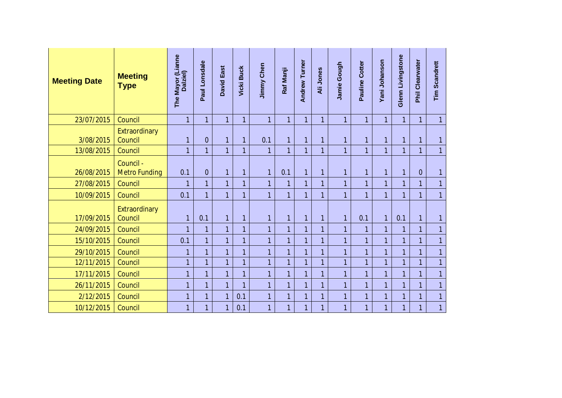| <b>Meeting Date</b> | <b>Meeting</b><br><b>Type</b>     | The Mayor (Lianne<br>Dalziel) | Lonsdale<br>Paul | <b>David East</b> | <b>Vicki Buck</b> | <b>Jimmy Chen</b> | Raf Manji      | <b>Andrew Turner</b> | Ali Jones      | Jamie Gough    | Cotter<br>Pauline | Yani Johanson  | Glenn Livingstone | Phil Clearwater | <b>Tim Scandrett</b> |
|---------------------|-----------------------------------|-------------------------------|------------------|-------------------|-------------------|-------------------|----------------|----------------------|----------------|----------------|-------------------|----------------|-------------------|-----------------|----------------------|
| 23/07/2015          | Council                           | $\overline{1}$                | $\mathbf{1}$     | $\overline{1}$    | $\mathbf{1}$      | $\overline{1}$    | $\mathbf{1}$   | $\overline{1}$       | $\overline{1}$ | $\mathbf{1}$   | 1                 | $\overline{1}$ | $\overline{1}$    | 1               | $\overline{1}$       |
| 3/08/2015           | Extraordinary<br>Council          | $\mathbf{1}$                  | $\overline{0}$   | 1                 | $\overline{1}$    | 0.1               | $\mathbf{1}$   | $\mathbf{1}$         | 1              | $\mathbf{1}$   | $\mathbf{1}$      | $\mathbf{1}$   | $\mathbf{1}$      | $\overline{1}$  | 1                    |
| 13/08/2015          | Council                           | $\overline{1}$                | $\overline{1}$   | $\overline{1}$    |                   | 1                 | $\mathbf{1}$   | $\overline{1}$       | $\mathbf{1}$   | $\overline{1}$ | $\overline{1}$    | $\overline{1}$ | $\overline{1}$    | 1               | $\overline{1}$       |
| 26/08/2015          | Council -<br><b>Metro Funding</b> | 0.1                           | $\overline{0}$   | 1                 | 1                 | $\overline{1}$    | 0.1            | $\overline{1}$       | $\mathbf{1}$   | $\overline{1}$ | 1                 | $\overline{1}$ | $\overline{1}$    | $\overline{0}$  | 1                    |
| 27/08/2015          | Council                           | $\overline{1}$                | 1                | $\overline{1}$    |                   | $\overline{1}$    | 1              | $\overline{1}$       | $\mathbf{1}$   | $\overline{1}$ | $\overline{1}$    | $\overline{1}$ | $\mathbf{1}$      | 1               | $\overline{1}$       |
| 10/09/2015          | Council                           | 0.1                           | 1                | 1                 |                   | 1                 | 1              | 1                    | 1              | $\mathbf{1}$   | $\mathbf{1}$      | 1              | $\overline{1}$    | 1               | $\mathbf{1}$         |
| 17/09/2015          | Extraordinary<br>Council          | $\mathbf{1}$                  | 0.1              | $\overline{1}$    | $\overline{1}$    | 1                 | $\mathbf{1}$   | $\mathbf{1}$         | 1              | $\mathbf{1}$   | 0.1               | $\overline{1}$ | 0.1               | 1               | 1                    |
| 24/09/2015          | Council                           | $\overline{1}$                |                  | $\overline{1}$    |                   | $\overline{1}$    | 1              | 1                    | $\overline{1}$ | $\mathbf{1}$   | 1                 | 1              | $\mathbf{1}$      | 1               | $\overline{1}$       |
| 15/10/2015          | Council                           | 0.1                           |                  | $\overline{1}$    |                   | $\overline{1}$    | $\mathbf{1}$   | $\overline{1}$       | $\overline{1}$ | $\overline{1}$ | $\overline{1}$    | $\overline{1}$ | $\mathbf{1}$      | 1               | $\overline{1}$       |
| 29/10/2015          | Council                           | $\mathbf{1}$                  |                  | 1                 |                   | 1                 | $\mathbf{1}$   | $\overline{1}$       | 1              | $\overline{1}$ | 1                 | 1              | $\mathbf{1}$      | 1               | 1                    |
| 12/11/2015          | Council                           | $\overline{1}$                |                  | $\overline{1}$    |                   | $\overline{1}$    | $\mathbf{1}$   | $\overline{1}$       | $\overline{1}$ | $\overline{1}$ | $\overline{1}$    | 1              | $\mathbf{1}$      | 1               | $\mathbf{1}$         |
| 17/11/2015          | Council                           | $\overline{1}$                |                  | 1                 |                   | $\overline{1}$    | 1              | $\overline{1}$       | 1              | 1              | $\overline{1}$    | 1              | $\mathbf{1}$      | 1               | $\overline{1}$       |
| 26/11/2015          | Council                           | $\mathbf{1}$                  | 1                | 1                 |                   | 1                 | $\mathbf{1}$   | $\overline{1}$       | $\mathbf{1}$   | $\mathbf{1}$   | $\mathbf{1}$      | 1              | $\mathbf{1}$      | 1               | $\mathbf{1}$         |
| 2/12/2015           | Council                           | $\overline{1}$                | $\overline{1}$   | 1                 | 0.1               | $\overline{1}$    | $\overline{1}$ | $\overline{1}$       | $\mathbf{1}$   | $\overline{1}$ | $\overline{1}$    | $\overline{1}$ | $\overline{1}$    | 1               | $\overline{1}$       |
| 10/12/2015          | Council                           | $\mathbf{1}$                  |                  | 1                 | 0.1               | 1                 | 1              | 1                    | 1              | $\mathbf{1}$   | $\mathbf{1}$      | 1              | 1                 | 1               | $\overline{1}$       |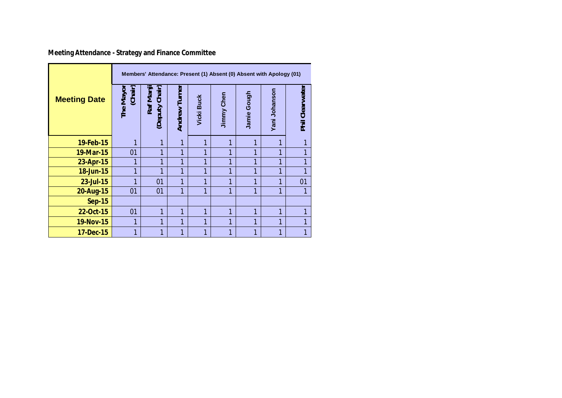**Meeting Attendance - Strategy and Finance Committee**

|                     | Members' Attendance: Present (1) Absent (0) Absent with Apology (01) |                             |               |                   |            |              |               |                 |  |  |  |  |
|---------------------|----------------------------------------------------------------------|-----------------------------|---------------|-------------------|------------|--------------|---------------|-----------------|--|--|--|--|
| <b>Meeting Date</b> | The Mayor<br>(Chair)                                                 | Raf Manji<br>(Deputy Chair) | Andrew Turner | <b>Vicki Buck</b> | Jimmy Chen | Jamie Gough  | Yani Johanson | Phil Clearwater |  |  |  |  |
| 19-Feb-15           | 1                                                                    | 1                           | 1             | 1                 | 1          |              | 1             |                 |  |  |  |  |
| 19-Mar-15           | 01                                                                   | 1                           | 1             | 1                 | 1          | 1            | 1             |                 |  |  |  |  |
| 23-Apr-15           | 1                                                                    | 1                           | 1             | 1                 | 1          | 1            | 1             | 1               |  |  |  |  |
| 18-Jun-15           | 1                                                                    | 1                           | 1             | 1                 | 1          | 1            | 1             | 1               |  |  |  |  |
| 23-Jul-15           | 1                                                                    | 01                          | 1             | 1                 | 1          | 1            | 1             | 01              |  |  |  |  |
| 20-Aug-15           | 01                                                                   | 01                          | 1             | 1                 | 1          | 1            | 1             |                 |  |  |  |  |
| <b>Sep-15</b>       |                                                                      |                             |               |                   |            |              |               |                 |  |  |  |  |
| 22-Oct-15           | 01                                                                   | 1                           | 1             | 1                 | 1          | 1            | 1             |                 |  |  |  |  |
| 19-Nov-15           | 1                                                                    | 1                           | 1             | 1                 | 1          | $\mathbf{1}$ | 1             |                 |  |  |  |  |
| 17-Dec-15           | 1                                                                    | 1                           | 1             | 1                 | 1          | 1            | 1             |                 |  |  |  |  |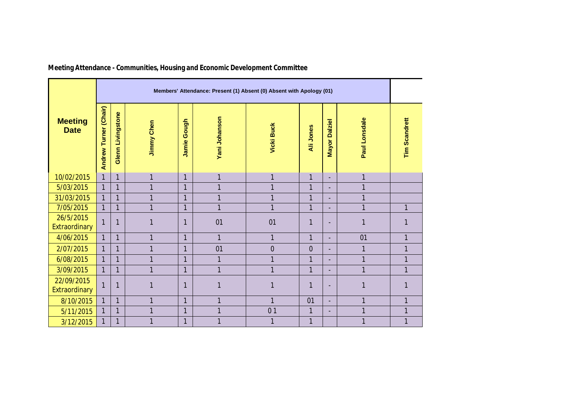|                               | Members' Attendance: Present (1) Absent (0) Absent with Apology (01) |                          |                   |                |                |                   |                |                                |                |                      |  |  |  |
|-------------------------------|----------------------------------------------------------------------|--------------------------|-------------------|----------------|----------------|-------------------|----------------|--------------------------------|----------------|----------------------|--|--|--|
| <b>Meeting</b><br><b>Date</b> | Turner (Chair)<br>Andrew                                             | <b>Glenn Livingstone</b> | <b>Jimmy Chen</b> | Gough<br>Jamie | Yani Johanson  | <b>Vicki Buck</b> | Ali Jones      | <b>Dalziel</b><br><b>Mayor</b> | Paul Lonsdale  | <b>Tim Scandrett</b> |  |  |  |
| 10/02/2015                    | $\mathbf{1}$                                                         | $\mathbf{1}$             | 1                 | $\mathbf{1}$   | $\mathbf{1}$   | 1                 | $\mathbf{1}$   | ٠                              | 1              |                      |  |  |  |
| 5/03/2015                     | $\mathbf{1}$                                                         | $\mathbf{1}$             | 1                 | $\mathbf{1}$   | $\overline{1}$ | 1                 | $\mathbf{1}$   |                                | 1              |                      |  |  |  |
| 31/03/2015                    | $\mathbf{1}$                                                         | $\mathbf{1}$             | $\overline{1}$    | $\mathbf{1}$   | $\mathbf{1}$   | 1                 | $\overline{1}$ |                                | $\overline{1}$ |                      |  |  |  |
| 7/05/2015                     | $\mathbf{1}$                                                         | $\mathbf{1}$             | $\mathbf{1}$      | $\mathbf{1}$   | $\mathbf{1}$   | $\mathbf{1}$      | $\overline{1}$ |                                | $\mathbf{1}$   | $\mathbf{1}$         |  |  |  |
| 26/5/2015<br>Extraordinary    | $\overline{1}$                                                       | $\overline{1}$           |                   | $\mathbf{1}$   | 01             | 01                | 1              | $\blacksquare$                 | 1              |                      |  |  |  |
| 4/06/2015                     | $\mathbf{1}$                                                         | $\mathbf{1}$             | $\overline{1}$    | $\mathbf{1}$   | $\mathbf{1}$   | $\mathbf{1}$      | $\mathbf{1}$   | $\overline{\phantom{0}}$       | 01             | $\mathbf{1}$         |  |  |  |
| 2/07/2015                     | $\mathbf{1}$                                                         | $\mathbf{1}$             | 1                 | $\mathbf{1}$   | 01             | $\overline{0}$    | $\overline{0}$ | $\overline{\phantom{a}}$       | $\overline{1}$ | $\mathbf{1}$         |  |  |  |
| 6/08/2015                     | $\mathbf{1}$                                                         | $\mathbf{1}$             | 1                 | $\mathbf{1}$   | $\overline{1}$ | 1                 | $\mathbf{1}$   | $\overline{\phantom{a}}$       | $\mathbf{1}$   | $\mathbf{1}$         |  |  |  |
| 3/09/2015                     | $\mathbf{1}$                                                         | $\mathbf{1}$             | $\mathbf{1}$      | $\mathbf{1}$   | $\mathbf{1}$   | 1                 | $\mathbf{1}$   | $\overline{\phantom{a}}$       | 1              | $\mathbf{1}$         |  |  |  |
| 22/09/2015<br>Extraordinary   | 1                                                                    | 1                        |                   | 1              | 1              | 1                 | 1              | $\blacksquare$                 |                |                      |  |  |  |
| 8/10/2015                     | $\mathbf{1}$                                                         | $\mathbf{1}$             | 1                 | $\mathbf{1}$   | $\mathbf{1}$   | $\mathbf{1}$      | 01             | $\overline{\phantom{0}}$       | $\overline{1}$ | $\mathbf{1}$         |  |  |  |
| 5/11/2015                     | 1                                                                    | $\mathbf{1}$             | $\overline{1}$    | $\mathbf{1}$   | $\mathbf{1}$   | 0 <sub>1</sub>    | $\mathbf{1}$   | $\overline{\phantom{a}}$       | $\overline{1}$ | $\mathbf{1}$         |  |  |  |
| 3/12/2015                     |                                                                      | 1                        | 1                 | $\mathbf{1}$   | $\mathbf{1}$   | 1                 | $\overline{1}$ |                                | 1              | $\mathbf{1}$         |  |  |  |

**Meeting Attendance - Communities, Housing and Economic Development Committee**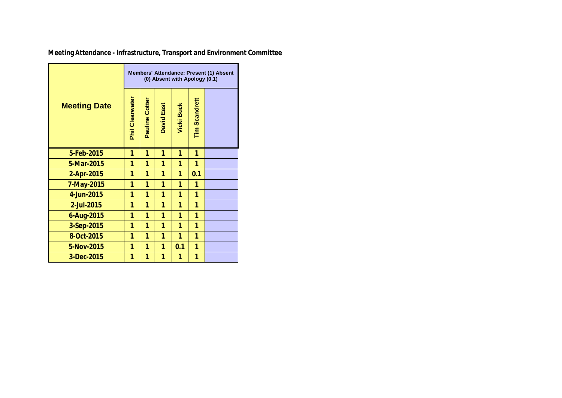|                     | Members' Attendance: Present (1) Absent<br>(0) Absent with Apology (0.1) |                |                   |                   |                      |  |  |  |  |  |
|---------------------|--------------------------------------------------------------------------|----------------|-------------------|-------------------|----------------------|--|--|--|--|--|
| <b>Meeting Date</b> | <b>Phil Clearwater</b>                                                   | Pauline Cotter | <b>David East</b> | <b>Vicki Buck</b> | <b>Tim Scandrett</b> |  |  |  |  |  |
| 5-Feb-2015          | 1                                                                        | 1              | 1                 | 1                 | 1                    |  |  |  |  |  |
| 5-Mar-2015          | 1                                                                        | 1              | 1                 | 1                 | 1                    |  |  |  |  |  |
| 2-Apr-2015          | 1                                                                        | 1              | 1                 | 1                 | 0.1                  |  |  |  |  |  |
| 7-May-2015          | 1                                                                        | 1              | 1                 | 1                 | 1                    |  |  |  |  |  |
| 4-Jun-2015          | 1                                                                        | 1              | 1                 | 1                 | 1                    |  |  |  |  |  |
| 2-Jul-2015          | 1                                                                        | 1              | 1                 | 1                 | 1                    |  |  |  |  |  |
| 6-Aug-2015          | 1                                                                        | 1              | 1                 | 1                 | 1                    |  |  |  |  |  |
| 3-Sep-2015          | 1                                                                        | 1              | 1                 | 1                 | 1                    |  |  |  |  |  |
| 8-Oct-2015          | 1                                                                        | 1              | 1                 | 1                 | 1                    |  |  |  |  |  |
| 5-Nov-2015          | 1                                                                        | 1              | 1                 | 0.1               | 1                    |  |  |  |  |  |
| 3-Dec-2015          | 1                                                                        | 1              | 1                 | 1                 | 1                    |  |  |  |  |  |

**Meeting Attendance - Infrastructure, Transport and Environment Committee**